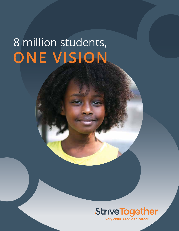# 8 million students, **ONE VISION**



Every child. Cradle to career.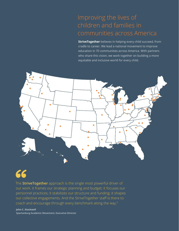### Improving the lives of children and families in communities across America

**StriveTogether** believes in helping every child succeed, from cradle to career. We lead a national movement to improve education in 70 communities across America. With partners who share this vision, we work together on building a more equitable and inclusive world for every child.



## 66

The **StriveTogether** approach is the single most powerful driver of our work. It frames our strategic planning and budget; it focuses our personnel practices; it stabilizes our structure and funding; it shapes our collective engagements. And the StriveTogether staff is there to coach and encourage through every benchmark along the way."

**John C. Stockwell Spartanburg Academic Movement, Executive Director**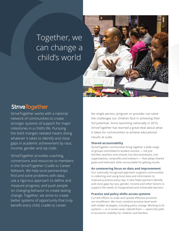### Together, we can change a child's world



### **StriveTogether**

StriveTogether works with a national network of communities to create stronger systems of support for major milestones in a child's life. Pursuing the bold changes needed means doing whatever it takes to identify and close gaps in academic achievement by race, income, gender and zip code.

StriveTogether provides coaching, connections and resources to members in the StriveTogether Cradle to Career Network. We help local partnerships find and solve problems with data; use a rigorous approach to define and measure progress; and push people on changing behavior to create lasting change. Together, we strive to create better systems of opportunity that truly benefit every child, cradle to career.

No single person, program or provider can solve the challenges our children face in achieving their full potential. Since launching nationally in 2010, StriveTogether has learned a great deal about what it takes for communities to achieve educational results at scale.

#### **Shared accountability**

StriveTogether communities bring together a wide range of groups committed to student success — not just families, teachers and schools, but also businesses, civic organizations, nonprofits and investors — that adopt shared goals and hold each other accountable for getting results.

#### **An unwavering focus on data and improvement**

Our nationally recognized approach supports communities in collecting and using local data and information to improve practices every day. It also helps partners identify and close gaps by race, gender, income and other factors to support the needs of marginalized and vulnerable learners.

#### **Practice and policy shifts across systems**

Current efforts to scale and spread effective practices are insufficient. We must combine practice-level work with bolder strategies, including policy change. Working to fix systems — or in some cases, rebuild them — opens the path to economic mobility for children and families.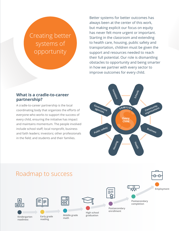### Creating better systems of opportunity

Better systems for better outcomes has always been at the center of this work, but making explicit our focus on equity has never felt more urgent or important. Starting in the classroom and extending to health care, housing, public safety and transportation, children must be given the support and resources needed to reach their full potential. Our role is dismantling obstacles to opportunity and being smarter in how we partner with every sector to improve outcomes for every child.

#### **What is a cradle-to-career partnership?**

A cradle-to-career partnership is the local coordinating body that organizes the efforts of everyone who works to support the success of every child, ensuring the initiative has impact and maintains momentum. The people involved include school staff; local nonprofit, business and faith leaders; investors; other professionals in the field; and students and their families.



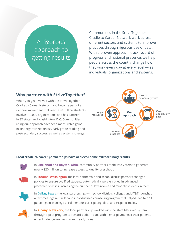### A rigorous approach to getting results

Communities in the StriveTogether Cradle to Career Network work across different sectors and systems to improve practices through rigorous use of data. With a proven approach, track record of progress and national presence, we help people across the country change how they work every day at every level — as individuals, organizations and systems.

### **Why partner with StriveTogether?**

When you get involved with the StriveTogether Cradle to Career Network, you become part of a national movement that reaches 8 million students, involves 10,000 organizations and has partners in 32 states and Washington, D.C. Communities using our approach have seen measurable gains in kindergarten readiness, early grade reading and postsecondary success, as well as systems change. **Improve Improve Improve Improve** 



#### **Local cradle-to-career partnerships have achieved some extraordinary results:**



In **Cincinnati and Dayton, Ohio**, community partners mobilized voters to generate nearly \$20 million to increase access to quality preschool.



In **Tacoma, Washington**, the local partnership and school district partners changed policies to ensure qualified students automatically were enrolled in advanced placement classes, increasing the number of low-income and minority students in them.



In **Dallas, Texas**, the local partnership, with school districts, colleges and AT&T, launched a text-message reminder and individualized counseling program that helped lead to a 14 percent gain in college enrollment for participating Black and Hispanic males.



In **Albany, New York**, the local partnership worked with the state Medicaid system through a pilot program to reward pediatricians with higher payments if their patients enter kindergarten healthy and ready to learn.